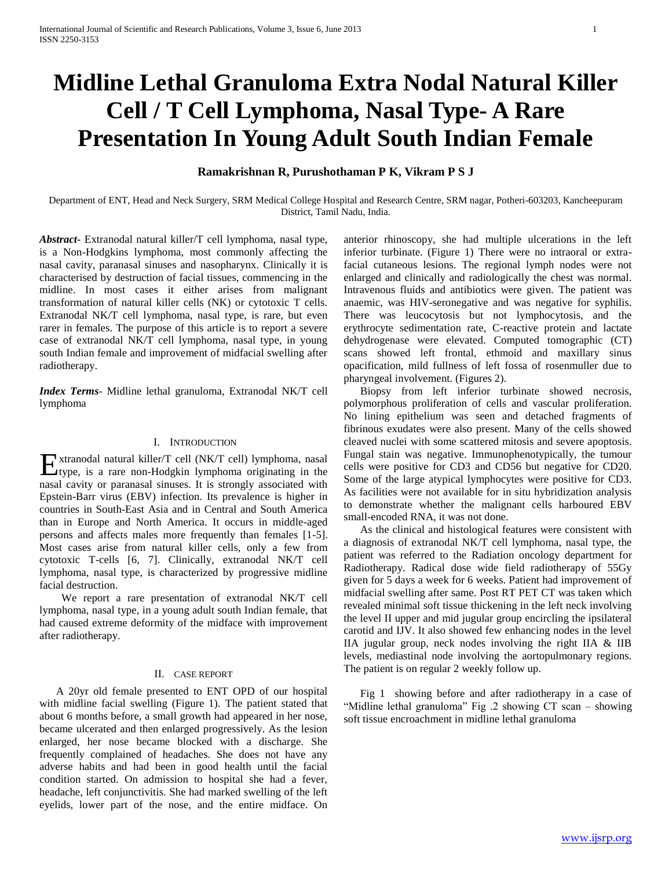# **Midline Lethal Granuloma Extra Nodal Natural Killer Cell / T Cell Lymphoma, Nasal Type- A Rare Presentation In Young Adult South Indian Female**

# **Ramakrishnan R, Purushothaman P K, Vikram P S J**

Department of ENT, Head and Neck Surgery, SRM Medical College Hospital and Research Centre, SRM nagar, Potheri-603203, Kancheepuram District, Tamil Nadu, India.

*Abstract***-** Extranodal natural killer/T cell lymphoma, nasal type, is a Non-Hodgkins lymphoma, most commonly affecting the nasal cavity, paranasal sinuses and nasopharynx. Clinically it is characterised by destruction of facial tissues, commencing in the midline. In most cases it either arises from malignant transformation of natural killer cells (NK) or cytotoxic T cells. Extranodal NK/T cell lymphoma, nasal type, is rare, but even rarer in females. The purpose of this article is to report a severe case of extranodal NK/T cell lymphoma, nasal type, in young south Indian female and improvement of midfacial swelling after radiotherapy.

*Index Terms*- Midline lethal granuloma, Extranodal NK/T cell lymphoma

#### I. INTRODUCTION

xtranodal natural killer/T cell (NK/T cell) lymphoma, nasal Extranodal natural killer/T cell (NK/T cell) lymphoma, nasal<br>type, is a rare non-Hodgkin lymphoma originating in the nasal cavity or paranasal sinuses. It is strongly associated with Epstein-Barr virus (EBV) infection. Its prevalence is higher in countries in South-East Asia and in Central and South America than in Europe and North America. It occurs in middle-aged persons and affects males more frequently than females [1-5]. Most cases arise from natural killer cells, only a few from cytotoxic T-cells [6, 7]. Clinically, extranodal NK/T cell lymphoma, nasal type, is characterized by progressive midline facial destruction.

 We report a rare presentation of extranodal NK/T cell lymphoma, nasal type, in a young adult south Indian female, that had caused extreme deformity of the midface with improvement after radiotherapy.

### II. CASE REPORT

 A 20yr old female presented to ENT OPD of our hospital with midline facial swelling (Figure 1). The patient stated that about 6 months before, a small growth had appeared in her nose, became ulcerated and then enlarged progressively. As the lesion enlarged, her nose became blocked with a discharge. She frequently complained of headaches. She does not have any adverse habits and had been in good health until the facial condition started. On admission to hospital she had a fever, headache, left conjunctivitis. She had marked swelling of the left eyelids, lower part of the nose, and the entire midface. On

anterior rhinoscopy, she had multiple ulcerations in the left inferior turbinate. (Figure 1) There were no intraoral or extrafacial cutaneous lesions. The regional lymph nodes were not enlarged and clinically and radiologically the chest was normal. Intravenous fluids and antibiotics were given. The patient was anaemic, was HIV-seronegative and was negative for syphilis. There was leucocytosis but not lymphocytosis, and the erythrocyte sedimentation rate, C-reactive protein and lactate dehydrogenase were elevated. Computed tomographic (CT) scans showed left frontal, ethmoid and maxillary sinus opacification, mild fullness of left fossa of rosenmuller due to pharyngeal involvement. (Figures 2).

 Biopsy from left inferior turbinate showed necrosis, polymorphous proliferation of cells and vascular proliferation. No lining epithelium was seen and detached fragments of fibrinous exudates were also present. Many of the cells showed cleaved nuclei with some scattered mitosis and severe apoptosis. Fungal stain was negative. Immunophenotypically, the tumour cells were positive for CD3 and CD56 but negative for CD20. Some of the large atypical lymphocytes were positive for CD3. As facilities were not available for in situ hybridization analysis to demonstrate whether the malignant cells harboured EBV small-encoded RNA, it was not done.

 As the clinical and histological features were consistent with a diagnosis of extranodal NK/T cell lymphoma, nasal type, the patient was referred to the Radiation oncology department for Radiotherapy. Radical dose wide field radiotherapy of 55Gy given for 5 days a week for 6 weeks. Patient had improvement of midfacial swelling after same. Post RT PET CT was taken which revealed minimal soft tissue thickening in the left neck involving the level II upper and mid jugular group encircling the ipsilateral carotid and IJV. It also showed few enhancing nodes in the level IIA jugular group, neck nodes involving the right IIA & IIB levels, mediastinal node involving the aortopulmonary regions. The patient is on regular 2 weekly follow up.

 Fig 1 showing before and after radiotherapy in a case of "Midline lethal granuloma" Fig .2 showing CT scan – showing soft tissue encroachment in midline lethal granuloma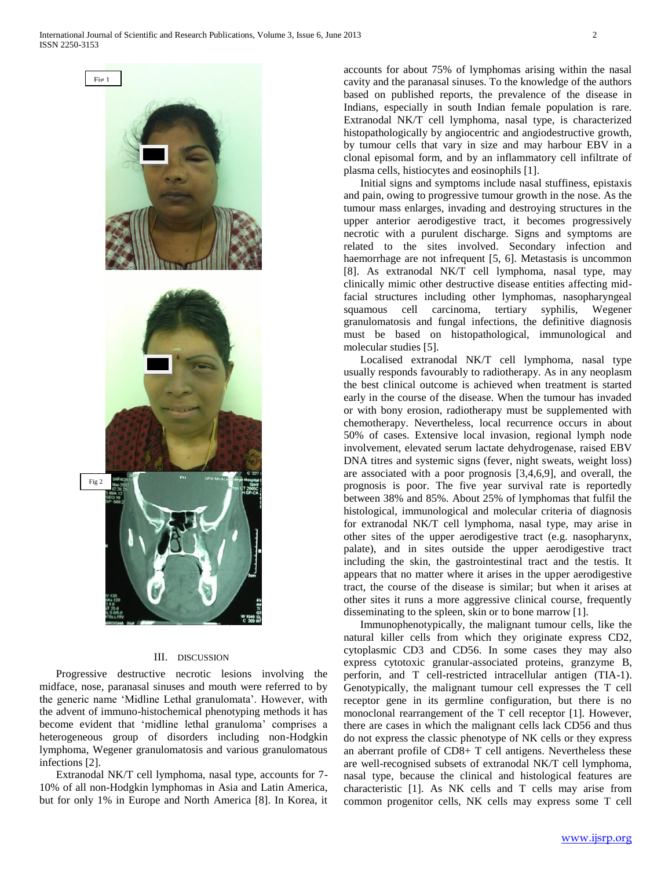

#### III. DISCUSSION

 Progressive destructive necrotic lesions involving the midface, nose, paranasal sinuses and mouth were referred to by the generic name 'Midline Lethal granulomata'. However, with the advent of immuno-histochemical phenotyping methods it has become evident that 'midline lethal granuloma' comprises a heterogeneous group of disorders including non-Hodgkin lymphoma, Wegener granulomatosis and various granulomatous infections [2].

 Extranodal NK/T cell lymphoma, nasal type, accounts for 7- 10% of all non-Hodgkin lymphomas in Asia and Latin America, but for only 1% in Europe and North America [8]. In Korea, it accounts for about 75% of lymphomas arising within the nasal cavity and the paranasal sinuses. To the knowledge of the authors based on published reports, the prevalence of the disease in Indians, especially in south Indian female population is rare. Extranodal NK/T cell lymphoma, nasal type, is characterized histopathologically by angiocentric and angiodestructive growth, by tumour cells that vary in size and may harbour EBV in a clonal episomal form, and by an inflammatory cell infiltrate of plasma cells, histiocytes and eosinophils [1].

 Initial signs and symptoms include nasal stuffiness, epistaxis and pain, owing to progressive tumour growth in the nose. As the tumour mass enlarges, invading and destroying structures in the upper anterior aerodigestive tract, it becomes progressively necrotic with a purulent discharge. Signs and symptoms are related to the sites involved. Secondary infection and haemorrhage are not infrequent [5, 6]. Metastasis is uncommon [8]. As extranodal NK/T cell lymphoma, nasal type, may clinically mimic other destructive disease entities affecting midfacial structures including other lymphomas, nasopharyngeal squamous cell carcinoma, tertiary syphilis, Wegener granulomatosis and fungal infections, the definitive diagnosis must be based on histopathological, immunological and molecular studies [5].

 Localised extranodal NK/T cell lymphoma, nasal type usually responds favourably to radiotherapy. As in any neoplasm the best clinical outcome is achieved when treatment is started early in the course of the disease. When the tumour has invaded or with bony erosion, radiotherapy must be supplemented with chemotherapy. Nevertheless, local recurrence occurs in about 50% of cases. Extensive local invasion, regional lymph node involvement, elevated serum lactate dehydrogenase, raised EBV DNA titres and systemic signs (fever, night sweats, weight loss) are associated with a poor prognosis [3,4,6,9], and overall, the prognosis is poor. The five year survival rate is reportedly between 38% and 85%. About 25% of lymphomas that fulfil the histological, immunological and molecular criteria of diagnosis for extranodal NK/T cell lymphoma, nasal type, may arise in other sites of the upper aerodigestive tract (e.g. nasopharynx, palate), and in sites outside the upper aerodigestive tract including the skin, the gastrointestinal tract and the testis. It appears that no matter where it arises in the upper aerodigestive tract, the course of the disease is similar; but when it arises at other sites it runs a more aggressive clinical course, frequently disseminating to the spleen, skin or to bone marrow [1].

 Immunophenotypically, the malignant tumour cells, like the natural killer cells from which they originate express CD2, cytoplasmic CD3 and CD56. In some cases they may also express cytotoxic granular-associated proteins, granzyme B, perforin, and T cell-restricted intracellular antigen (TIA-1). Genotypically, the malignant tumour cell expresses the T cell receptor gene in its germline configuration, but there is no monoclonal rearrangement of the T cell receptor [1]. However, there are cases in which the malignant cells lack CD56 and thus do not express the classic phenotype of NK cells or they express an aberrant profile of CD8+ T cell antigens. Nevertheless these are well-recognised subsets of extranodal NK/T cell lymphoma, nasal type, because the clinical and histological features are characteristic [1]. As NK cells and T cells may arise from common progenitor cells, NK cells may express some T cell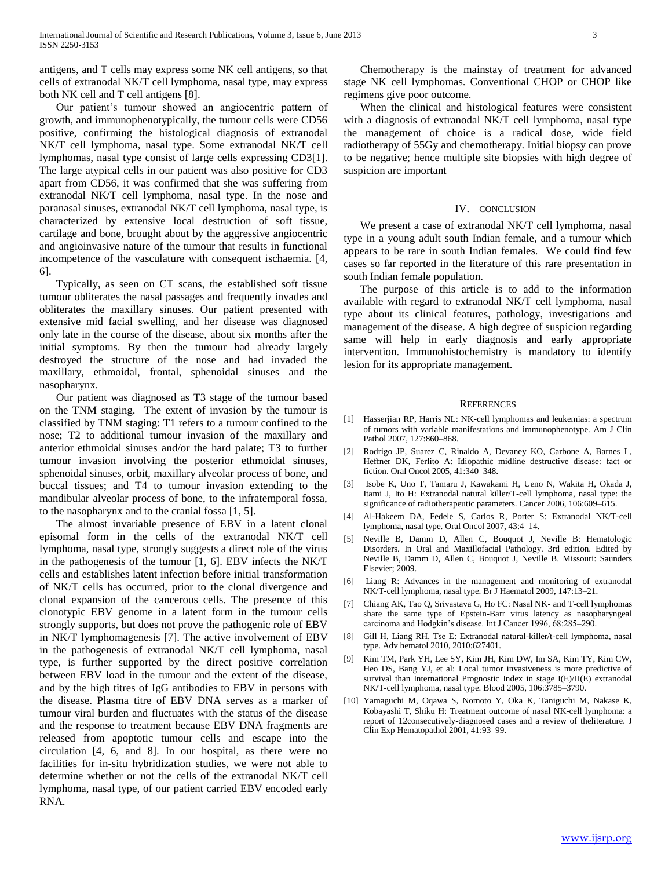antigens, and T cells may express some NK cell antigens, so that cells of extranodal NK/T cell lymphoma, nasal type, may express both NK cell and T cell antigens [8].

 Our patient's tumour showed an angiocentric pattern of growth, and immunophenotypically, the tumour cells were CD56 positive, confirming the histological diagnosis of extranodal NK/T cell lymphoma, nasal type. Some extranodal NK/T cell lymphomas, nasal type consist of large cells expressing CD3[1]. The large atypical cells in our patient was also positive for CD3 apart from CD56, it was confirmed that she was suffering from extranodal NK/T cell lymphoma, nasal type. In the nose and paranasal sinuses, extranodal NK/T cell lymphoma, nasal type, is characterized by extensive local destruction of soft tissue, cartilage and bone, brought about by the aggressive angiocentric and angioinvasive nature of the tumour that results in functional incompetence of the vasculature with consequent ischaemia. [4, 6].

 Typically, as seen on CT scans, the established soft tissue tumour obliterates the nasal passages and frequently invades and obliterates the maxillary sinuses. Our patient presented with extensive mid facial swelling, and her disease was diagnosed only late in the course of the disease, about six months after the initial symptoms. By then the tumour had already largely destroyed the structure of the nose and had invaded the maxillary, ethmoidal, frontal, sphenoidal sinuses and the nasopharynx.

 Our patient was diagnosed as T3 stage of the tumour based on the TNM staging. The extent of invasion by the tumour is classified by TNM staging: T1 refers to a tumour confined to the nose; T2 to additional tumour invasion of the maxillary and anterior ethmoidal sinuses and/or the hard palate; T3 to further tumour invasion involving the posterior ethmoidal sinuses, sphenoidal sinuses, orbit, maxillary alveolar process of bone, and buccal tissues; and T4 to tumour invasion extending to the mandibular alveolar process of bone, to the infratemporal fossa, to the nasopharynx and to the cranial fossa [1, 5].

 The almost invariable presence of EBV in a latent clonal episomal form in the cells of the extranodal NK/T cell lymphoma, nasal type, strongly suggests a direct role of the virus in the pathogenesis of the tumour [1, 6]. EBV infects the NK/T cells and establishes latent infection before initial transformation of NK/T cells has occurred, prior to the clonal divergence and clonal expansion of the cancerous cells. The presence of this clonotypic EBV genome in a latent form in the tumour cells strongly supports, but does not prove the pathogenic role of EBV in NK/T lymphomagenesis [7]. The active involvement of EBV in the pathogenesis of extranodal NK/T cell lymphoma, nasal type, is further supported by the direct positive correlation between EBV load in the tumour and the extent of the disease, and by the high titres of IgG antibodies to EBV in persons with the disease. Plasma titre of EBV DNA serves as a marker of tumour viral burden and fluctuates with the status of the disease and the response to treatment because EBV DNA fragments are released from apoptotic tumour cells and escape into the circulation [4, 6, and 8]. In our hospital, as there were no facilities for in-situ hybridization studies, we were not able to determine whether or not the cells of the extranodal NK/T cell lymphoma, nasal type, of our patient carried EBV encoded early RNA.

 Chemotherapy is the mainstay of treatment for advanced stage NK cell lymphomas. Conventional CHOP or CHOP like regimens give poor outcome.

 When the clinical and histological features were consistent with a diagnosis of extranodal NK/T cell lymphoma, nasal type the management of choice is a radical dose, wide field radiotherapy of 55Gy and chemotherapy. Initial biopsy can prove to be negative; hence multiple site biopsies with high degree of suspicion are important

## IV. CONCLUSION

 We present a case of extranodal NK/T cell lymphoma, nasal type in a young adult south Indian female, and a tumour which appears to be rare in south Indian females. We could find few cases so far reported in the literature of this rare presentation in south Indian female population.

 The purpose of this article is to add to the information available with regard to extranodal NK/T cell lymphoma, nasal type about its clinical features, pathology, investigations and management of the disease. A high degree of suspicion regarding same will help in early diagnosis and early appropriate intervention. Immunohistochemistry is mandatory to identify lesion for its appropriate management.

#### **REFERENCES**

- [1] Hasserjian RP, Harris NL: NK-cell lymphomas and leukemias: a spectrum of tumors with variable manifestations and immunophenotype. Am J Clin Pathol 2007, 127:860–868.
- [2] Rodrigo JP, Suarez C, Rinaldo A, Devaney KO, Carbone A, Barnes L, Heffner DK, Ferlito A: Idiopathic midline destructive disease: fact or fiction. Oral Oncol 2005, 41:340–348.
- [3] Isobe K, Uno T, Tamaru J, Kawakami H, Ueno N, Wakita H, Okada J, Itami J, Ito H: Extranodal natural killer/T-cell lymphoma, nasal type: the significance of radiotherapeutic parameters. Cancer 2006, 106:609–615.
- [4] Al-Hakeem DA, Fedele S, Carlos R, Porter S: Extranodal NK/T-cell lymphoma, nasal type. Oral Oncol 2007, 43:4–14.
- [5] Neville B, Damm D, Allen C, Bouquot J, Neville B: Hematologic Disorders. In Oral and Maxillofacial Pathology. 3rd edition. Edited by Neville B, Damm D, Allen C, Bouquot J, Neville B. Missouri: Saunders Elsevier; 2009.
- [6] Liang R: Advances in the management and monitoring of extranodal NK/T-cell lymphoma, nasal type. Br J Haematol 2009, 147:13–21.
- [7] Chiang AK, Tao Q, Srivastava G, Ho FC: Nasal NK- and T-cell lymphomas share the same type of Epstein-Barr virus latency as nasopharyngeal carcinoma and Hodgkin's disease. Int J Cancer 1996, 68:285–290.
- [8] Gill H, Liang RH, Tse E: Extranodal natural-killer/t-cell lymphoma, nasal type. Adv hematol 2010, 2010:627401.
- [9] Kim TM, Park YH, Lee SY, Kim JH, Kim DW, Im SA, Kim TY, Kim CW, Heo DS, Bang YJ, et al: Local tumor invasiveness is more predictive of survival than International Prognostic Index in stage I(E)/II(E) extranodal NK/T-cell lymphoma, nasal type. Blood 2005, 106:3785–3790.
- [10] Yamaguchi M, Oqawa S, Nomoto Y, Oka K, Taniguchi M, Nakase K, Kobayashi T, Shiku H: Treatment outcome of nasal NK-cell lymphoma: a report of 12consecutively-diagnosed cases and a review of theliterature. J Clin Exp Hematopathol 2001, 41:93–99.